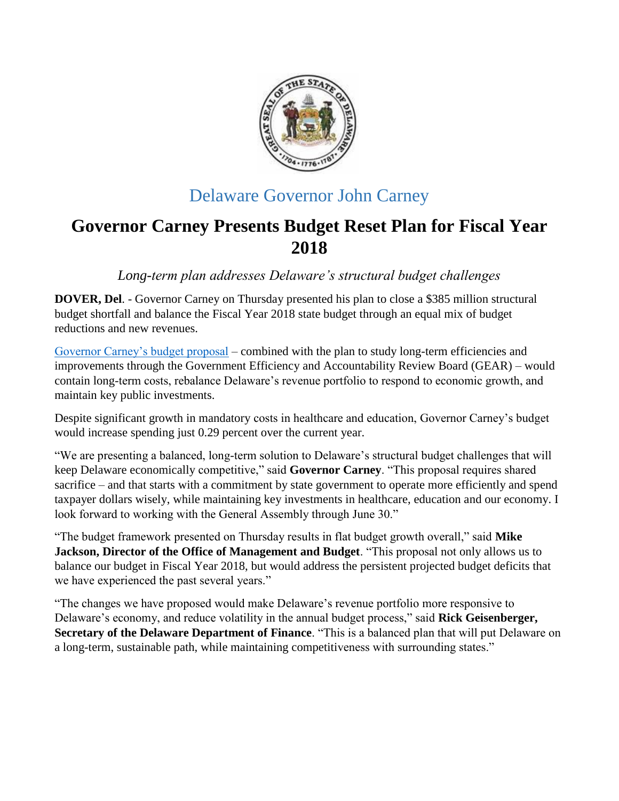

## Delaware Governor John Carney

# **Governor Carney Presents Budget Reset Plan for Fiscal Year 2018**

*Long-term plan addresses Delaware's structural budget challenges*

**DOVER, Del**. - Governor Carney on Thursday presented his plan to close a \$385 million structural budget shortfall and balance the Fiscal Year 2018 state budget through an equal mix of budget reductions and new revenues.

[Governor Carney's budget proposal](http://budget.delaware.gov/budget/fy2018/documents/budget-reset-presentation.pdf) – combined with the plan to study long-term efficiencies and improvements through the Government Efficiency and Accountability Review Board (GEAR) – would contain long-term costs, rebalance Delaware's revenue portfolio to respond to economic growth, and maintain key public investments.

Despite significant growth in mandatory costs in healthcare and education, Governor Carney's budget would increase spending just 0.29 percent over the current year.

"We are presenting a balanced, long-term solution to Delaware's structural budget challenges that will keep Delaware economically competitive," said **Governor Carney**. "This proposal requires shared sacrifice – and that starts with a commitment by state government to operate more efficiently and spend taxpayer dollars wisely, while maintaining key investments in healthcare, education and our economy. I look forward to working with the General Assembly through June 30."

"The budget framework presented on Thursday results in flat budget growth overall," said **Mike Jackson, Director of the Office of Management and Budget**. "This proposal not only allows us to balance our budget in Fiscal Year 2018, but would address the persistent projected budget deficits that we have experienced the past several years."

"The changes we have proposed would make Delaware's revenue portfolio more responsive to Delaware's economy, and reduce volatility in the annual budget process," said **Rick Geisenberger, Secretary of the Delaware Department of Finance**. "This is a balanced plan that will put Delaware on a long-term, sustainable path, while maintaining competitiveness with surrounding states."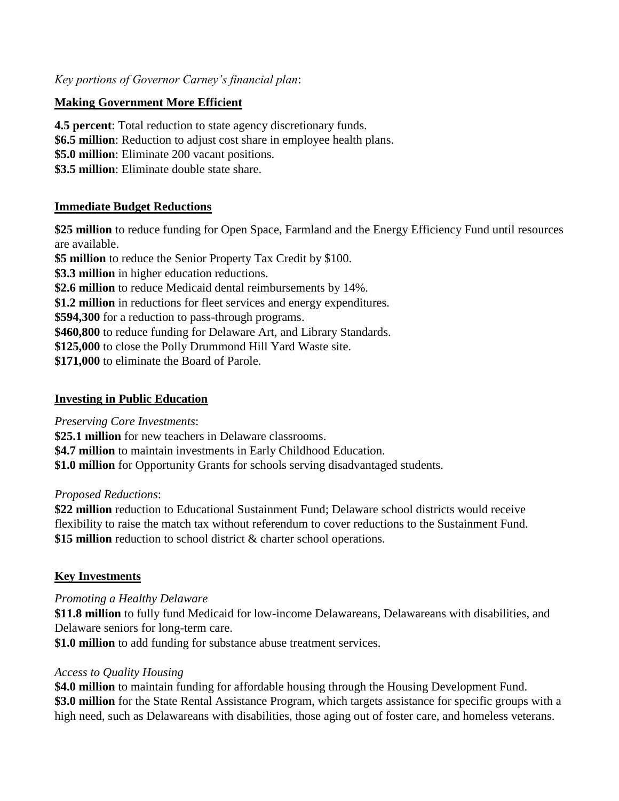*Key portions of Governor Carney's financial plan*:

## **Making Government More Efficient**

**4.5 percent**: Total reduction to state agency discretionary funds. **\$6.5 million**: Reduction to adjust cost share in employee health plans. **\$5.0 million**: Eliminate 200 vacant positions. **\$3.5 million**: Eliminate double state share.

### **Immediate Budget Reductions**

**\$25 million** to reduce funding for Open Space, Farmland and the Energy Efficiency Fund until resources are available.

**\$5 million** to reduce the Senior Property Tax Credit by \$100.

**\$3.3 million** in higher education reductions.

**\$2.6 million** to reduce Medicaid dental reimbursements by 14%.

**\$1.2 million** in reductions for fleet services and energy expenditures.

**\$594,300** for a reduction to pass-through programs.

**\$460,800** to reduce funding for Delaware Art, and Library Standards.

**\$125,000** to close the Polly Drummond Hill Yard Waste site.

**\$171,000** to eliminate the Board of Parole.

### **Investing in Public Education**

*Preserving Core Investments*:

**\$25.1 million** for new teachers in Delaware classrooms.

**\$4.7 million** to maintain investments in Early Childhood Education.

**\$1.0 million** for Opportunity Grants for schools serving disadvantaged students.

### *Proposed Reductions*:

**\$22 million** reduction to Educational Sustainment Fund; Delaware school districts would receive flexibility to raise the match tax without referendum to cover reductions to the Sustainment Fund. **\$15 million** reduction to school district & charter school operations.

## **Key Investments**

### *Promoting a Healthy Delaware*

**\$11.8 million** to fully fund Medicaid for low-income Delawareans, Delawareans with disabilities, and Delaware seniors for long-term care.

**\$1.0 million** to add funding for substance abuse treatment services.

### *Access to Quality Housing*

**\$4.0 million** to maintain funding for affordable housing through the Housing Development Fund. **\$3.0 million** for the State Rental Assistance Program, which targets assistance for specific groups with a high need, such as Delawareans with disabilities, those aging out of foster care, and homeless veterans.